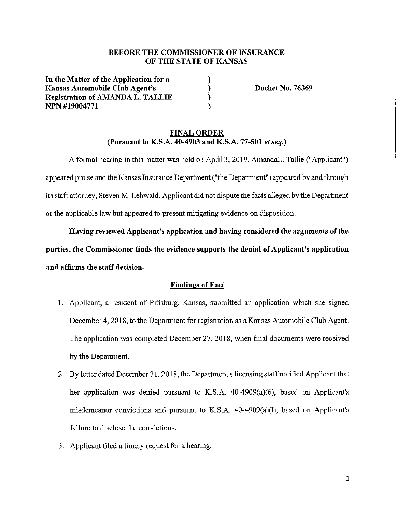### **BEFORE THE COMMISSIONER OF INSURANCE OF THE STATE OF KANSAS**

) ) ) )

**In the Matter of the Application for a Kansas Automobile Club Agent's Registration of AMANDA L. TALLIE NPN #19004771** 

**Docket No. 76369** 

#### **FINAL ORDER (Pursuant to K.S.A. 40-4903 and K.S.A. 77-501** *et seq.)*

A formal hearing in this matter was held on April 3, 2019. AmandaL. Tallie ("Applicant") appeared pro se and the Kansas Insurance Department ("the Department") appeared by and through its staff attorney, Steven M. Lehwald. Applicant did not dispute the facts alleged by the Department or the applicable law but appeared to present mitigating evidence on disposition.

**Having reviewed Applicant's application and having considered the arguments of the parties, the Commissioner finds the evidence supports the denial of Applicant's application and affirms the staff decision.** 

#### **Findings of Fact**

- 1. Applicant, a resident of Pittsburg, Kansas, submitted an application which she signed December 4, 2018, to the Department for registration as a Kansas Automobile Club Agent. The application was completed December 27, 2018, when final documents were received by the Department.
- 2. By letter dated December 31, 2018, the Department's licensing staff notified Applicant that her application was denied pursuant to K.S.A. 40-4909(a)(6), based on Applicant's misdemeanor convictions and pursuant to K.S.A. 40-4909(a)(l), based on Applicant's failure to disclose the convictions.
- 3. Applicant filed a timely request for a hearing.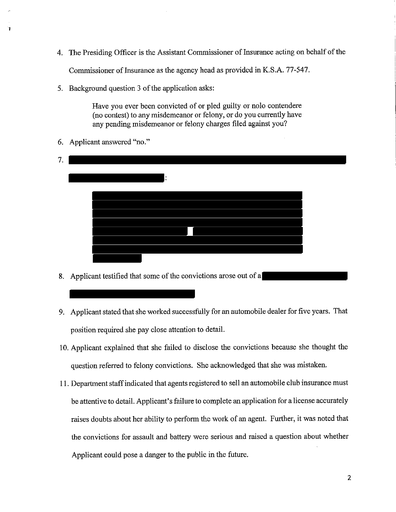4. The Presiding Officer is the Assistant Commissioner of Insurance acting on behalf of the

Commissioner of Insurance as the agency head as provided in K.S.A. 77-547.

5. Background question 3 of the application asks:

Have you ever been convicted of or pied guilty or nolo contendere (no contest) to any misdemeanor or felony, or do you currently have any pending misdemeanor or felony charges filed against you?

6. Applicant answered "no."

| 7. |         |  |
|----|---------|--|
|    | . .<br> |  |
|    |         |  |
|    |         |  |
|    |         |  |
|    |         |  |

- 8. Applicant testified that some of the convictions arose out of a
- 9. Applicant stated that she worked successfully for an automobile dealer for five years. That position required she pay close attention to detail.
- 10. Applicant explained that she failed to disclose the convictions because she thought the question referred to felony convictions. She acknowledged that she was mistaken.
- 11. Department staff indicated that agents registered to sell an automobile club insurance must be attentive to detail. Applicant's failure to complete an application for a license accurately raises doubts about her ability to perform the work of an agent. Further, it was noted that the convictions for assault and battery were serious and raised a question about whether Applicant could pose a danger to the public in the future.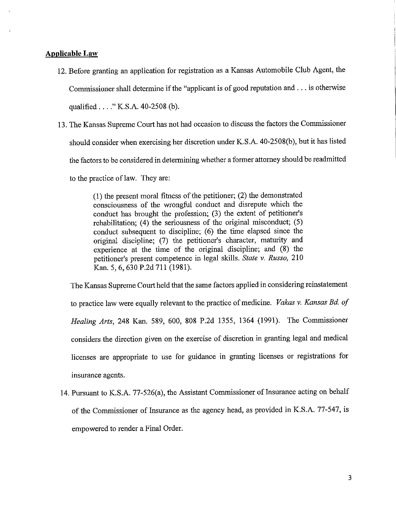#### **Applicable Law**

- 12. Before granting an application for registration as a Kansas Automobile Club Agent, the Commissioner shall determine if the "applicant is of good reputation and ... is otherwise qualified .... " K.S.A. 40-2508 (b).
- 13. The Kansas Supreme Court has not had occasion to discuss the factors the Commissioner should consider when exercising her discretion under K.S.A. 40-2508(b ), but it has listed the factors to be considered in determining whether a former attorney should be readmitted to the practice of law. They are:

(1) the present moral fitness of the petitioner; (2) the demonstrated consciousness of the wrongful conduct and disrepute which the conduct has brought the profession; (3) the extent of petitioner's rehabilitation; (4) the seriousness of the original misconduct; (5) conduct subsequent to discipline; (6) the time elapsed since the original discipline; (7) the petitioner's character, maturity and experience at the time of the original discipline; and (8) the petitioner's present competence in legal skills. *State* v. *Russo,* 210 Kan. 5, 6,630 P.2d 711 (1981).

The Kansas Supreme Court held that the same factors applied in considering reinstatement to practice law were equally relevant to the practice of medicine. *Vakas* v. *Kansas Bd. of Healing Arts,* 248 Kan. 589, 600, 808 P.2d 1355, 1364 (1991). The Commissioner considers the direction given on the exercise of discretion in granting legal and medical licenses are appropriate to use for guidance in granting licenses or registrations for insurance agents.

14. Pursuant to K.S.A. 77-526(a), the Assistant Commissioner of Insurance acting on behalf of the Commissioner of Insurance as the agency head, as provided in K.S.A. 77-547, is empowered to render a Final Order.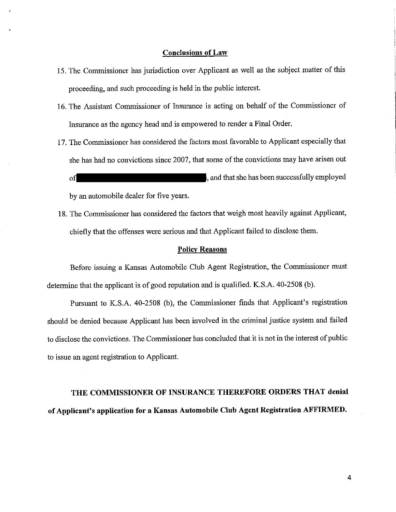#### **Conclusions of Law**

- 15. The Commissioner has jurisdiction over Applicant as well as the subject matter of this proceeding, and such proceeding is held in the public interest.
- 16. The Assistant Commissioner of Insurance is acting on behalf of the Commissioner of Insurance as the agency head and is empowered to render a Final Order.
- 17. The Commissioner has considered the factors most favorable to Applicant especially that she has had no convictions since 2007, that some of the convictions may have arisen out of of  $\mathbf{I}$  , and that she has been successfully employed

by an automobile dealer for five years.

18. The Commissioner has considered the factors that weigh most heavily against Applicant, chiefly that the offenses were serious and that Applicant failed to disclose them.

#### **Policy Reasons**

Before issuing a Kansas Automobile Club Agent Registration, the Commissioner must determine that the applicant is of good reputation and is qualified. K.S.A. 40-2508 (b ).

Pursuant to K.S.A. 40-2508 (b), the Commissioner finds that Applicant's registration should be denied because Applicant has been involved in the criminal justice system and failed to disclose the convictions. The Commissioner has concluded that it is not in the interest of public to issue an agent registration to Applicant.

# **THE COMMISSIONER OF INSURANCE THEREFORE ORDERS THAT denial of Applicant's application for a Kansas Automobile Club Agent Registration AFFIRMED.**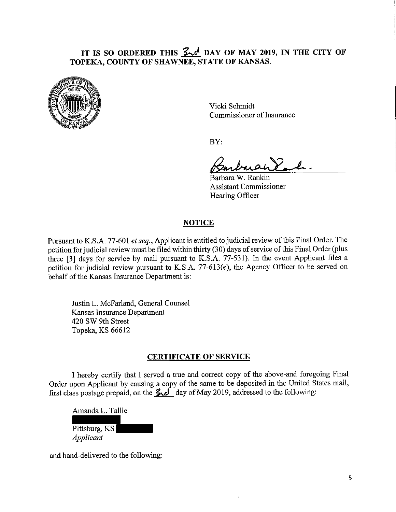# IT IS SO ORDERED THIS  $2\pi$ , DAY OF MAY 2019, IN THE CITY OF **TOPEKA, COUNTY OF SHAWNEE, STATE OF KANSAS.**



Vicki Schmidt Commissioner of Insurance

BY:

Barbara W. Rankin Assistant Commissioner Hearing Officer

# **NOTICE**

Pursuant to K.S.A. 77-601 *et seq.*, Applicant is entitled to judicial review of this Final Order. The petition for judicial review must be filed within thirty (30) days of service of this Final Order (plus three [3] days for service by mail pursuant to K.S.A. 77-531). In the event Applicant files a petition for judicial review pursuant to K.S.A. 77-613(e), the Agency Officer to be served on behalf of the Kansas Insurance Department is:

Justin L. McFarland, General Counsel Kansas Insurance Department 420 SW 9th Street Topeka, KS 66612

## **CERTIFICATE OF SERVICE**

I hereby certify tbat I served a true and correct copy of the above-and foregoing Final Order upon Applicant by causing a copy of the same to be deposited in the United States mail, first class postage prepaid, on the  $\frac{2d}{d}$  day of May 2019, addressed to the following:

Amanda L. Tallie Pittsburg, KS *Applicant* 

and hand-delivered to the following: